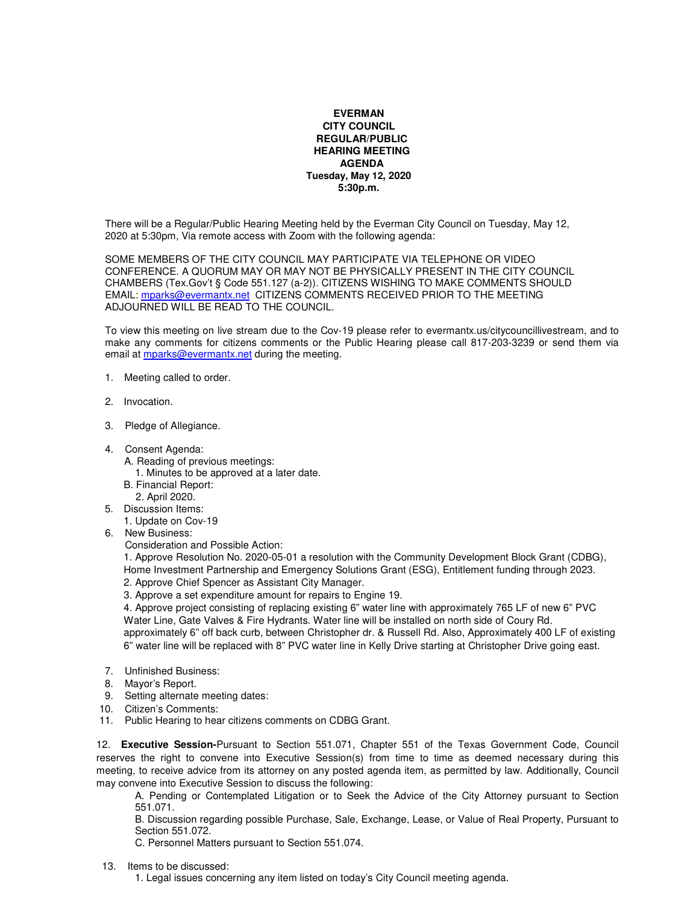## **EVERMAN CITY COUNCIL REGULAR/PUBLIC HEARING MEETING AGENDA Tuesday, May 12, 2020 5:30p.m.**

There will be a Regular/Public Hearing Meeting held by the Everman City Council on Tuesday, May 12, 2020 at 5:30pm, Via remote access with Zoom with the following agenda:

SOME MEMBERS OF THE CITY COUNCIL MAY PARTICIPATE VIA TELEPHONE OR VIDEO CONFERENCE. A QUORUM MAY OR MAY NOT BE PHYSICALLY PRESENT IN THE CITY COUNCIL CHAMBERS (Tex.Gov't § Code 551.127 (a-2)). CITIZENS WISHING TO MAKE COMMENTS SHOULD EMAIL: mparks@evermantx.net CITIZENS COMMENTS RECEIVED PRIOR TO THE MEETING ADJOURNED WILL BE READ TO THE COUNCIL.

To view this meeting on live stream due to the Cov-19 please refer to evermantx.us/citycouncillivestream, and to make any comments for citizens comments or the Public Hearing please call 817-203-3239 or send them via email at mparks@evermantx.net during the meeting.

- 1. Meeting called to order.
- 2. Invocation.
- 3. Pledge of Allegiance.
- 4. Consent Agenda:
	- A. Reading of previous meetings:
		- 1. Minutes to be approved at a later date.
	- B. Financial Report:
		- 2. April 2020.
- 5. Discussion Items:
- 1. Update on Cov-19
- 6. New Business:

Consideration and Possible Action:

1. Approve Resolution No. 2020-05-01 a resolution with the Community Development Block Grant (CDBG), Home Investment Partnership and Emergency Solutions Grant (ESG), Entitlement funding through 2023. 2. Approve Chief Spencer as Assistant City Manager.

3. Approve a set expenditure amount for repairs to Engine 19.

4. Approve project consisting of replacing existing 6" water line with approximately 765 LF of new 6" PVC Water Line, Gate Valves & Fire Hydrants. Water line will be installed on north side of Coury Rd.

approximately 6" off back curb, between Christopher dr. & Russell Rd. Also, Approximately 400 LF of existing 6" water line will be replaced with 8" PVC water line in Kelly Drive starting at Christopher Drive going east.

- 7. Unfinished Business:
- 8.Mayor's Report.
- 9. Setting alternate meeting dates:
- 10. Citizen's Comments:
- 11. Public Hearing to hear citizens comments on CDBG Grant.

12. **Executive Session-**Pursuant to Section 551.071, Chapter 551 of the Texas Government Code, Council reserves the right to convene into Executive Session(s) from time to time as deemed necessary during this meeting, to receive advice from its attorney on any posted agenda item, as permitted by law. Additionally, Council may convene into Executive Session to discuss the following:

A. Pending or Contemplated Litigation or to Seek the Advice of the City Attorney pursuant to Section 551.071.

B. Discussion regarding possible Purchase, Sale, Exchange, Lease, or Value of Real Property, Pursuant to Section 551.072.

C. Personnel Matters pursuant to Section 551.074.

13. Items to be discussed:

1. Legal issues concerning any item listed on today's City Council meeting agenda.